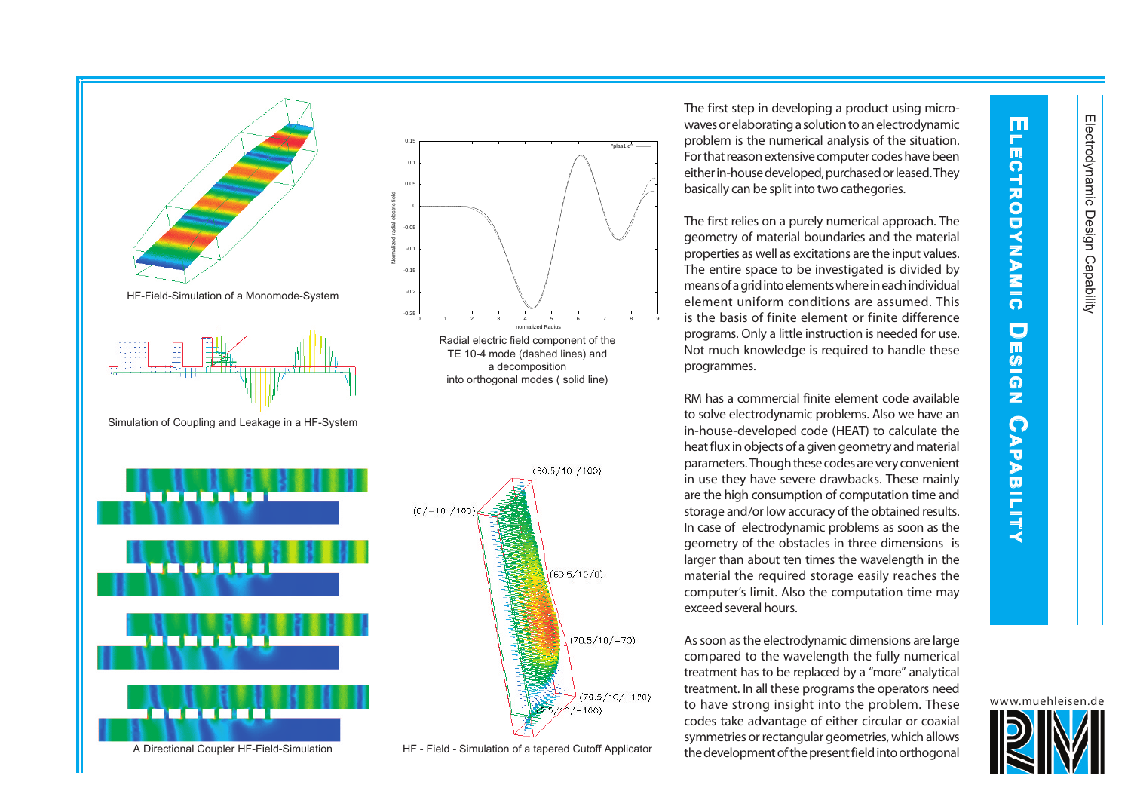**E**

Н m,

**LECTRO**

**D**<br>2

 **A M I** 

**C DES**

 **I** 

 $\frac{z}{\Omega}$ 

 **PA B I LIT**

 **Y**



The first step in developing a product using microwaves or elaborating a solution to an electrodynamic problem is the numerical analysis of the situation. For that reason extensive computer codes have been either in-house developed, purchased or leased. They basically can be split into two cathegories.

The first relies on a purely numerical approach. The geometry of material boundaries and the material properties as well as excitations are the input values. The entire space to be investigated is divided by means of a grid into elements where in each individual element uniform conditions are assumed. This is the basis of finite element or finite difference programs. Only a little instruction is needed for use. Not much knowledge is required to handle these programmes.

7 8 9

"plas1.d"

RM has a commercial finite element code available to solve electrodynamic problems. Also we have an in-house-developed code (HEAT) to calculate the heat flux in objects of a given geometry and material parameters. Though these codes are very convenient in use they have severe drawbacks. These mainly are the high consumption of computation time and storage and/or low accuracy of the obtained results. In case of electrodynamic problems as soon as the geometry of the obstacles in three dimensions is larger than about ten times the wavelength in the material the required storage easily reaches the computer's limit. Also the computation time may exceed several hours.

As soon as the electrodynamic dimensions are large compared to the wavelength the fully numerical treatment has to be replaced by a "more" analytical treatment. In all these programs the operators need to have strong insight into the problem. These codes take advantage of either circular or coaxial symmetries or rectangular geometries, which allows the development of the present field into orthogonal